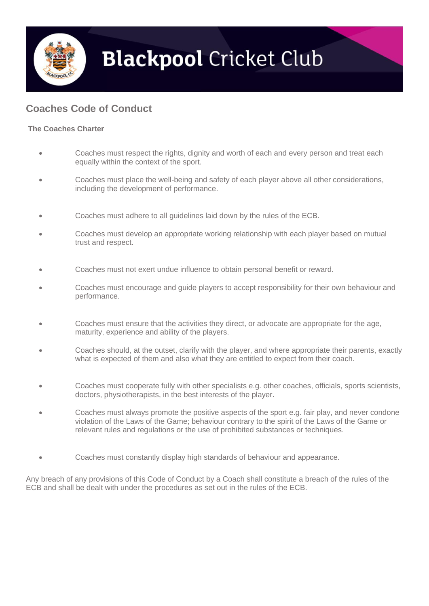

## **Blackpool Cricket Club**

## **Coaches Code of Conduct**

## **The Coaches Charter**

- Coaches must respect the rights, dignity and worth of each and every person and treat each equally within the context of the sport.
- Coaches must place the well-being and safety of each player above all other considerations, including the development of performance.
- Coaches must adhere to all guidelines laid down by the rules of the ECB.
- Coaches must develop an appropriate working relationship with each player based on mutual trust and respect.
- Coaches must not exert undue influence to obtain personal benefit or reward.
- Coaches must encourage and guide players to accept responsibility for their own behaviour and performance.
- Coaches must ensure that the activities they direct, or advocate are appropriate for the age, maturity, experience and ability of the players.
- Coaches should, at the outset, clarify with the player, and where appropriate their parents, exactly what is expected of them and also what they are entitled to expect from their coach.
- Coaches must cooperate fully with other specialists e.g. other coaches, officials, sports scientists, doctors, physiotherapists, in the best interests of the player.
- Coaches must always promote the positive aspects of the sport e.g. fair play, and never condone violation of the Laws of the Game; behaviour contrary to the spirit of the Laws of the Game or relevant rules and regulations or the use of prohibited substances or techniques.
- Coaches must constantly display high standards of behaviour and appearance.

Any breach of any provisions of this Code of Conduct by a Coach shall constitute a breach of the rules of the ECB and shall be dealt with under the procedures as set out in the rules of the ECB.